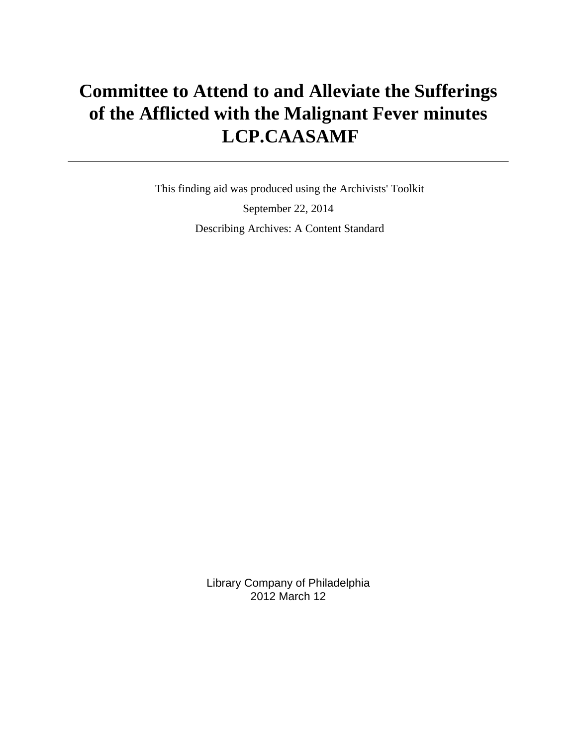# **Committee to Attend to and Alleviate the Sufferings of the Afflicted with the Malignant Fever minutes LCP.CAASAMF**

 This finding aid was produced using the Archivists' Toolkit September 22, 2014 Describing Archives: A Content Standard

> Library Company of Philadelphia 2012 March 12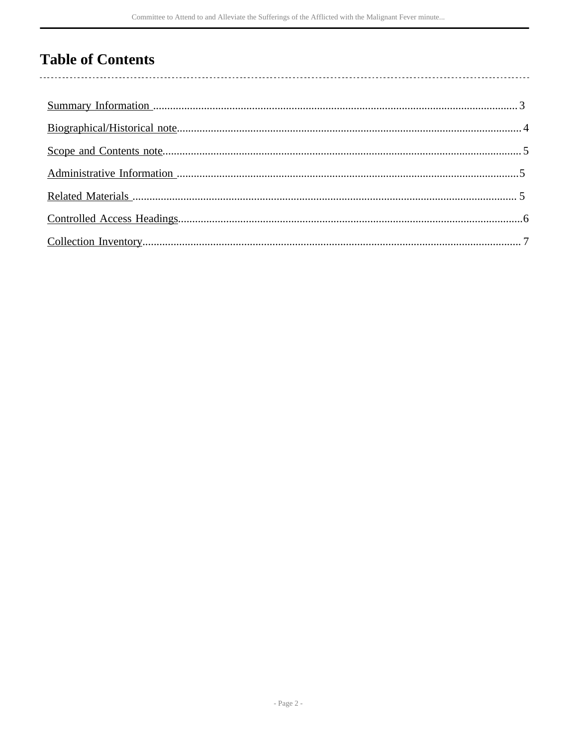# **Table of Contents**

l,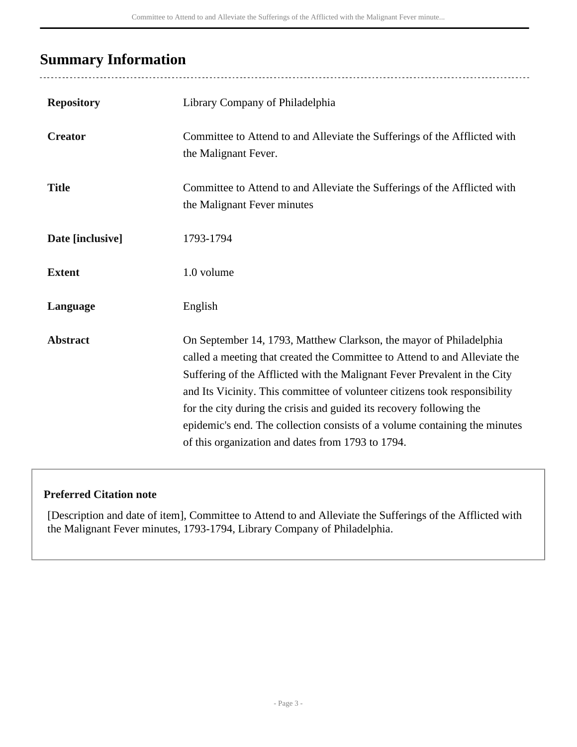## <span id="page-2-0"></span>**Summary Information**

| <b>Repository</b> | Library Company of Philadelphia                                                                                                                                                                                                                                                                                                                                                                                                                                                                                        |
|-------------------|------------------------------------------------------------------------------------------------------------------------------------------------------------------------------------------------------------------------------------------------------------------------------------------------------------------------------------------------------------------------------------------------------------------------------------------------------------------------------------------------------------------------|
| <b>Creator</b>    | Committee to Attend to and Alleviate the Sufferings of the Afflicted with<br>the Malignant Fever.                                                                                                                                                                                                                                                                                                                                                                                                                      |
| <b>Title</b>      | Committee to Attend to and Alleviate the Sufferings of the Afflicted with<br>the Malignant Fever minutes                                                                                                                                                                                                                                                                                                                                                                                                               |
| Date [inclusive]  | 1793-1794                                                                                                                                                                                                                                                                                                                                                                                                                                                                                                              |
| <b>Extent</b>     | 1.0 volume                                                                                                                                                                                                                                                                                                                                                                                                                                                                                                             |
| Language          | English                                                                                                                                                                                                                                                                                                                                                                                                                                                                                                                |
| <b>Abstract</b>   | On September 14, 1793, Matthew Clarkson, the mayor of Philadelphia<br>called a meeting that created the Committee to Attend to and Alleviate the<br>Suffering of the Afflicted with the Malignant Fever Prevalent in the City<br>and Its Vicinity. This committee of volunteer citizens took responsibility<br>for the city during the crisis and guided its recovery following the<br>epidemic's end. The collection consists of a volume containing the minutes<br>of this organization and dates from 1793 to 1794. |

#### **Preferred Citation note**

[Description and date of item], Committee to Attend to and Alleviate the Sufferings of the Afflicted with the Malignant Fever minutes, 1793-1794, Library Company of Philadelphia.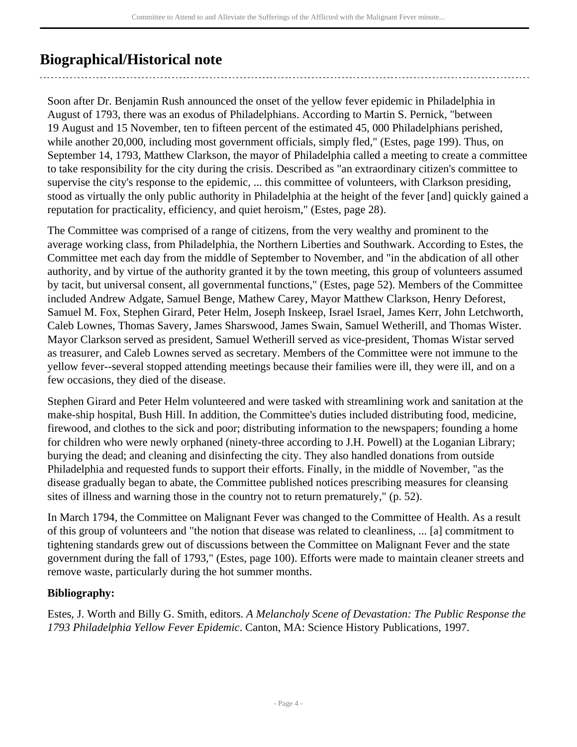## <span id="page-3-0"></span>**Biographical/Historical note**

Soon after Dr. Benjamin Rush announced the onset of the yellow fever epidemic in Philadelphia in August of 1793, there was an exodus of Philadelphians. According to Martin S. Pernick, "between 19 August and 15 November, ten to fifteen percent of the estimated 45, 000 Philadelphians perished, while another 20,000, including most government officials, simply fled," (Estes, page 199). Thus, on September 14, 1793, Matthew Clarkson, the mayor of Philadelphia called a meeting to create a committee to take responsibility for the city during the crisis. Described as "an extraordinary citizen's committee to supervise the city's response to the epidemic, ... this committee of volunteers, with Clarkson presiding, stood as virtually the only public authority in Philadelphia at the height of the fever [and] quickly gained a reputation for practicality, efficiency, and quiet heroism," (Estes, page 28).

The Committee was comprised of a range of citizens, from the very wealthy and prominent to the average working class, from Philadelphia, the Northern Liberties and Southwark. According to Estes, the Committee met each day from the middle of September to November, and "in the abdication of all other authority, and by virtue of the authority granted it by the town meeting, this group of volunteers assumed by tacit, but universal consent, all governmental functions," (Estes, page 52). Members of the Committee included Andrew Adgate, Samuel Benge, Mathew Carey, Mayor Matthew Clarkson, Henry Deforest, Samuel M. Fox, Stephen Girard, Peter Helm, Joseph Inskeep, Israel Israel, James Kerr, John Letchworth, Caleb Lownes, Thomas Savery, James Sharswood, James Swain, Samuel Wetherill, and Thomas Wister. Mayor Clarkson served as president, Samuel Wetherill served as vice-president, Thomas Wistar served as treasurer, and Caleb Lownes served as secretary. Members of the Committee were not immune to the yellow fever--several stopped attending meetings because their families were ill, they were ill, and on a few occasions, they died of the disease.

Stephen Girard and Peter Helm volunteered and were tasked with streamlining work and sanitation at the make-ship hospital, Bush Hill. In addition, the Committee's duties included distributing food, medicine, firewood, and clothes to the sick and poor; distributing information to the newspapers; founding a home for children who were newly orphaned (ninety-three according to J.H. Powell) at the Loganian Library; burying the dead; and cleaning and disinfecting the city. They also handled donations from outside Philadelphia and requested funds to support their efforts. Finally, in the middle of November, "as the disease gradually began to abate, the Committee published notices prescribing measures for cleansing sites of illness and warning those in the country not to return prematurely," (p. 52).

In March 1794, the Committee on Malignant Fever was changed to the Committee of Health. As a result of this group of volunteers and "the notion that disease was related to cleanliness, ... [a] commitment to tightening standards grew out of discussions between the Committee on Malignant Fever and the state government during the fall of 1793," (Estes, page 100). Efforts were made to maintain cleaner streets and remove waste, particularly during the hot summer months.

#### **Bibliography:**

Estes, J. Worth and Billy G. Smith, editors. *A Melancholy Scene of Devastation: The Public Response the 1793 Philadelphia Yellow Fever Epidemic*. Canton, MA: Science History Publications, 1997.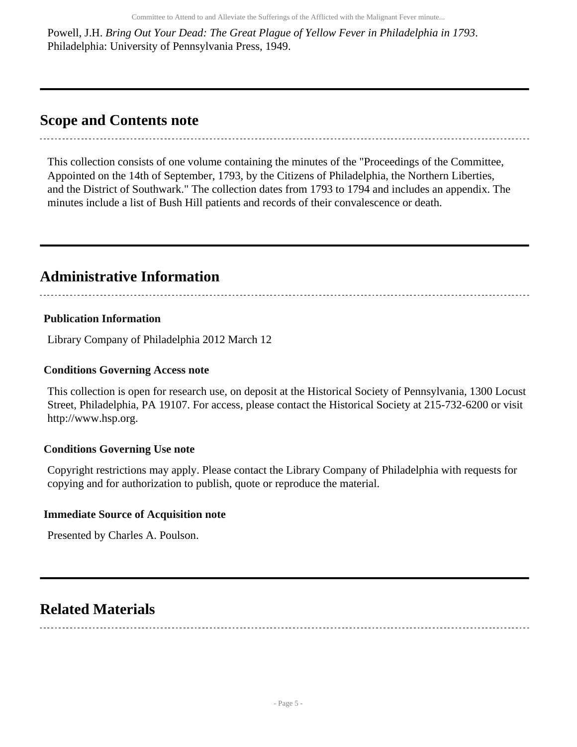Powell, J.H. *Bring Out Your Dead: The Great Plague of Yellow Fever in Philadelphia in 1793*. Philadelphia: University of Pennsylvania Press, 1949.

### <span id="page-4-0"></span>**Scope and Contents note**

This collection consists of one volume containing the minutes of the "Proceedings of the Committee, Appointed on the 14th of September, 1793, by the Citizens of Philadelphia, the Northern Liberties, and the District of Southwark." The collection dates from 1793 to 1794 and includes an appendix. The minutes include a list of Bush Hill patients and records of their convalescence or death.

### <span id="page-4-1"></span>**Administrative Information**

#### **Publication Information**

Library Company of Philadelphia 2012 March 12

#### **Conditions Governing Access note**

This collection is open for research use, on deposit at the Historical Society of Pennsylvania, 1300 Locust Street, Philadelphia, PA 19107. For access, please contact the Historical Society at 215-732-6200 or visit http://www.hsp.org.

#### **Conditions Governing Use note**

Copyright restrictions may apply. Please contact the Library Company of Philadelphia with requests for copying and for authorization to publish, quote or reproduce the material.

#### **Immediate Source of Acquisition note**

Presented by Charles A. Poulson.

## <span id="page-4-2"></span>**Related Materials**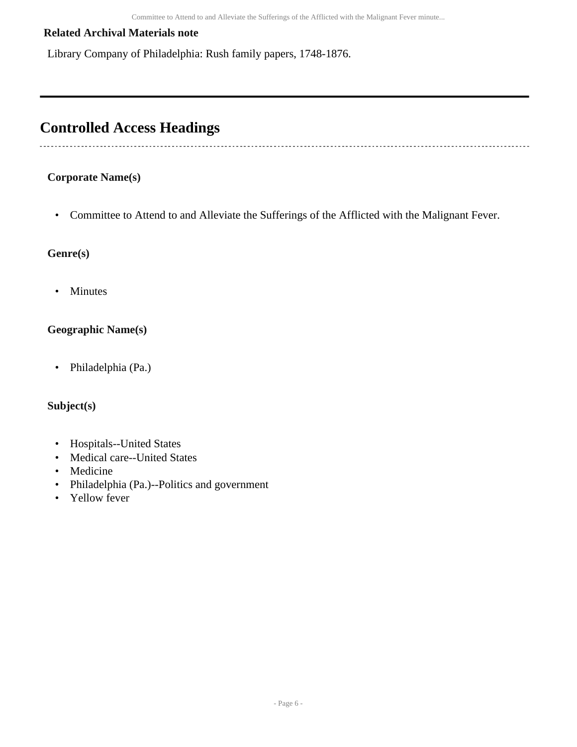#### **Related Archival Materials note**

Library Company of Philadelphia: Rush family papers, 1748-1876.

### <span id="page-5-0"></span>**Controlled Access Headings**

#### **Corporate Name(s)**

----------------------------

• Committee to Attend to and Alleviate the Sufferings of the Afflicted with the Malignant Fever.

#### **Genre(s)**

• Minutes

#### **Geographic Name(s)**

• Philadelphia (Pa.)

#### **Subject(s)**

- Hospitals--United States
- Medical care--United States
- Medicine
- Philadelphia (Pa.)--Politics and government
- Yellow fever